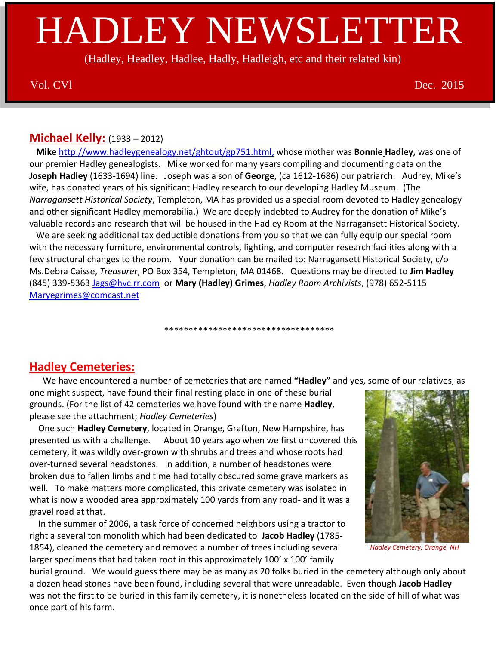# HADLEY NEWSLETTER

(Hadley, Headley, Hadlee, Hadly, Hadleigh, etc and their related kin)

Vol. CVl Dec. 2015

## **Michael Kelly:** (1933 – 2012)

 **Mike** [http://www.hadleygenealogy.net/ghtout/gp751.html,](http://www.hadleygenealogy.net/ghtout/gp751.html) whose mother was **Bonnie Hadley,** was one of our premier Hadley genealogists. Mike worked for many years compiling and documenting data on the **Joseph Hadley** (1633-1694) line. Joseph was a son of **George**, (ca 1612-1686) our patriarch. Audrey, Mike's wife, has donated years of his significant Hadley research to our developing Hadley Museum. (The *Narragansett Historical Society*, Templeton, MA has provided us a special room devoted to Hadley genealogy and other significant Hadley memorabilia.) We are deeply indebted to Audrey for the donation of Mike's valuable records and research that will be housed in the Hadley Room at the Narragansett Historical Society.

 We are seeking additional tax deductible donations from you so that we can fully equip our special room with the necessary furniture, environmental controls, lighting, and computer research facilities along with a few structural changes to the room. Your donation can be mailed to: Narragansett Historical Society, c/o Ms.Debra Caisse, *Treasurer*, PO Box 354, Templeton, MA 01468. Questions may be directed to **Jim Hadley** (845) 339-5363 [Jags@hvc.rr.com](mailto:Jags@hvc.rr.com) or **Mary (Hadley) Grimes**, *Hadley Room Archivists*, (978) 652-5115 [Maryegrimes@comcast.net](mailto:Maryegrimes@comcast.net)

## \*\*\*\*\*\*\*\*\*\*\*\*\*\*\*\*\*\*\*\*\*\*\*\*\*\*\*\*\*\*\*\*\*\*\*

## **Hadley Cemeteries:**

We have encountered a number of cemeteries that are named **"Hadley"** and yes, some of our relatives, as

one might suspect, have found their final resting place in one of these burial grounds. (For the list of 42 cemeteries we have found with the name **Hadley**, please see the attachment; *Hadley Cemeteries*)

 One such **Hadley Cemetery**, located in Orange, Grafton, New Hampshire, has presented us with a challenge. About 10 years ago when we first uncovered this cemetery, it was wildly over-grown with shrubs and trees and whose roots had over-turned several headstones. In addition, a number of headstones were broken due to fallen limbs and time had totally obscured some grave markers as well. To make matters more complicated, this private cemetery was isolated in what is now a wooded area approximately 100 yards from any road- and it was a gravel road at that.

 In the summer of 2006, a task force of concerned neighbors using a tractor to right a several ton monolith which had been dedicated to **Jacob Hadley** (1785- 1854), cleaned the cemetery and removed a number of trees including several larger specimens that had taken root in this approximately 100' x 100' family



 *Hadley Cemetery, Orange, NH*

burial ground. We would guess there may be as many as 20 folks buried in the cemetery although only about a dozen head stones have been found, including several that were unreadable. Even though **Jacob Hadley** was not the first to be buried in this family cemetery, it is nonetheless located on the side of hill of what was once part of his farm.